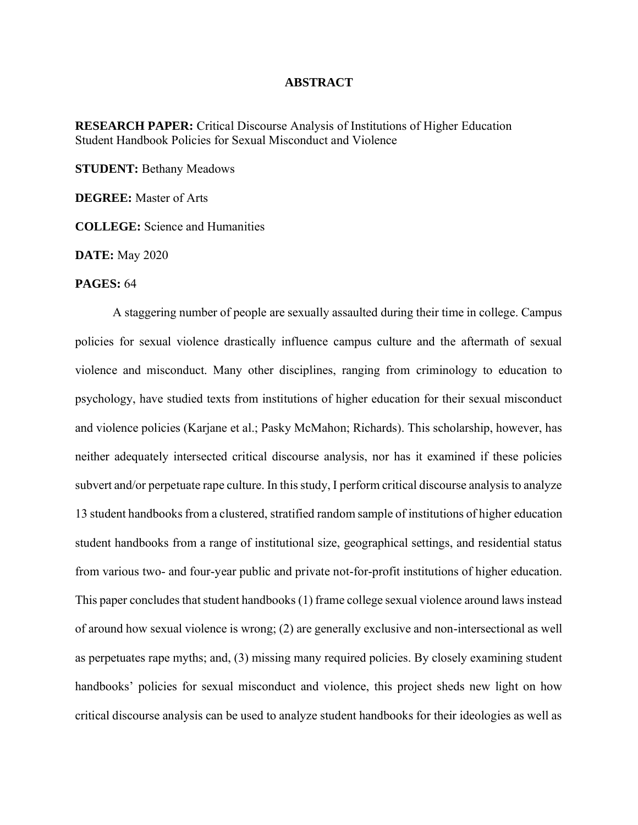## **ABSTRACT**

**RESEARCH PAPER:** Critical Discourse Analysis of Institutions of Higher Education Student Handbook Policies for Sexual Misconduct and Violence

**STUDENT: Bethany Meadows** 

**DEGREE:** Master of Arts

**COLLEGE:** Science and Humanities

**DATE:** May 2020

## **PAGES:** 64

A staggering number of people are sexually assaulted during their time in college. Campus policies for sexual violence drastically influence campus culture and the aftermath of sexual violence and misconduct. Many other disciplines, ranging from criminology to education to psychology, have studied texts from institutions of higher education for their sexual misconduct and violence policies (Karjane et al.; Pasky McMahon; Richards). This scholarship, however, has neither adequately intersected critical discourse analysis, nor has it examined if these policies subvert and/or perpetuate rape culture. In this study, I perform critical discourse analysis to analyze 13 student handbooks from a clustered, stratified random sample of institutions of higher education student handbooks from a range of institutional size, geographical settings, and residential status from various two- and four-year public and private not-for-profit institutions of higher education. This paper concludes that student handbooks (1) frame college sexual violence around laws instead of around how sexual violence is wrong; (2) are generally exclusive and non-intersectional as well as perpetuates rape myths; and, (3) missing many required policies. By closely examining student handbooks' policies for sexual misconduct and violence, this project sheds new light on how critical discourse analysis can be used to analyze student handbooks for their ideologies as well as